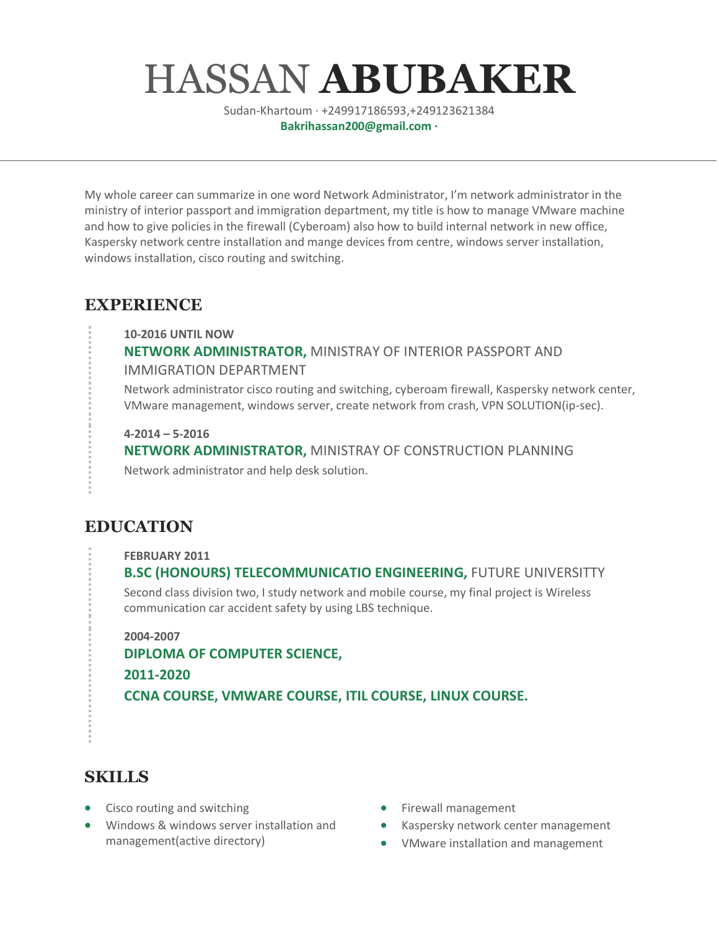# HASSAN **ABUBAKER**

Sudan-Khartoum · +249917186593,+249123621384 **Bakrihassan200@gmail.com ·**

My whole career can summarize in one word Network Administrator, I'm network administrator in the ministry of interior passport and immigration department, my title is how to manage VMware machine and how to give policies in the firewall (Cyberoam) also how to build internal network in new office, Kaspersky network centre installation and mange devices from centre, windows server installation, windows installation, cisco routing and switching.

#### **EXPERIENCE**

**10-2016 UNTIL NOW**

**NETWORK ADMINISTRATOR,** MINISTRAY OF INTERIOR PASSPORT AND IMMIGRATION DEPARTMENT

Network administrator cisco routing and switching, cyberoam firewall, Kaspersky network center, VMware management, windows server, create network from crash, VPN SOLUTION(ip-sec).

**4-2014 – 5-2016**

**NETWORK ADMINISTRATOR,** MINISTRAY OF CONSTRUCTION PLANNING Network administrator and help desk solution.

### **EDUCATION**

**FEBRUARY 2011**

**B.SC (HONOURS) TELECOMMUNICATIO ENGINEERING,** FUTURE UNIVERSITTY Second class division two, I study network and mobile course, my final project is Wireless communication car accident safety by using LBS technique.

**2004-2007** 

**DIPLOMA OF COMPUTER SCIENCE, 2011-2020 CCNA COURSE, VMWARE COURSE, ITIL COURSE, LINUX COURSE.** 

#### **SKILLS**

- Cisco routing and switching
- Windows & windows server installation and management(active directory)
- Firewall management
- Kaspersky network center management
- VMware installation and management